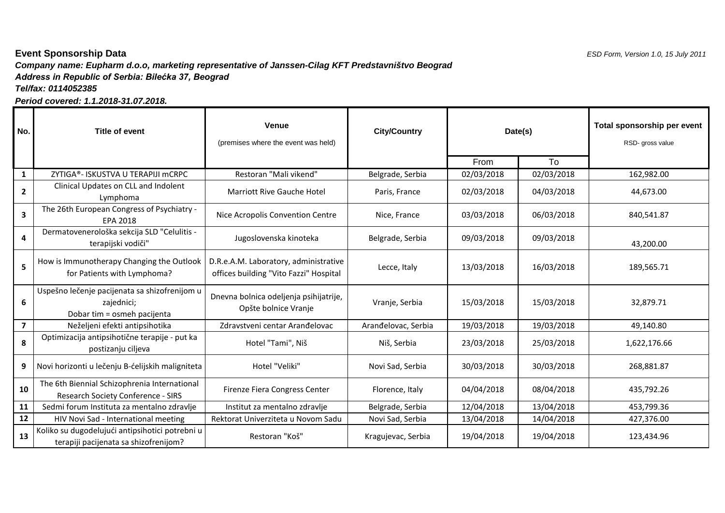## *Company name: Eupharm d.o.o, marketing representative of Janssen-Cilag KFT Predstavništvo Beograd*  **Event Sponsorship Data** *ESD Form, Version 1.0, 15 July 2011 Address in Republic of Serbia: Bilećka 37, Beograd Tel/fax: 0114052385*

*Period covered: 1.1.2018-31.07.2018.*

| No.                     | Title of event                                                                             | <b>Venue</b><br>(premises where the event was held)                             | <b>City/Country</b> | Date(s)    |            | Total sponsorship per event<br>RSD- gross value |
|-------------------------|--------------------------------------------------------------------------------------------|---------------------------------------------------------------------------------|---------------------|------------|------------|-------------------------------------------------|
|                         |                                                                                            |                                                                                 |                     | From       | To         |                                                 |
| $\mathbf{1}$            | ZYTIGA®- ISKUSTVA U TERAPIJI MCRPC                                                         | Restoran "Mali vikend"                                                          | Belgrade, Serbia    | 02/03/2018 | 02/03/2018 | 162,982.00                                      |
| $\mathbf{2}$            | Clinical Updates on CLL and Indolent<br>Lymphoma                                           | <b>Marriott Rive Gauche Hotel</b>                                               | Paris, France       | 02/03/2018 | 04/03/2018 | 44,673.00                                       |
| $\mathbf{3}$            | The 26th European Congress of Psychiatry -<br><b>EPA 2018</b>                              | Nice Acropolis Convention Centre                                                | Nice, France        | 03/03/2018 | 06/03/2018 | 840,541.87                                      |
| 4                       | Dermatovenerološka sekcija SLD "Celulitis -<br>terapijski vodiči"                          | Jugoslovenska kinoteka                                                          | Belgrade, Serbia    | 09/03/2018 | 09/03/2018 | 43,200.00                                       |
| 5 <sup>1</sup>          | How is Immunotherapy Changing the Outlook<br>for Patients with Lymphoma?                   | D.R.e.A.M. Laboratory, administrative<br>offices building "Vito Fazzi" Hospital | Lecce, Italy        | 13/03/2018 | 16/03/2018 | 189,565.71                                      |
| 6                       | Uspešno lečenje pacijenata sa shizofrenijom u<br>zajednici;<br>Dobar tim = osmeh pacijenta | Dnevna bolnica odeljenja psihijatrije,<br>Opšte bolnice Vranje                  | Vranje, Serbia      | 15/03/2018 | 15/03/2018 | 32,879.71                                       |
| $\overline{\mathbf{z}}$ | Neželjeni efekti antipsihotika                                                             | Zdravstveni centar Aranđelovac                                                  | Aranđelovac, Serbia | 19/03/2018 | 19/03/2018 | 49,140.80                                       |
| 8                       | Optimizacija antipsihotične terapije - put ka<br>postizanju ciljeva                        | Hotel "Tami", Niš                                                               | Niš, Serbia         | 23/03/2018 | 25/03/2018 | 1,622,176.66                                    |
| 9                       | Novi horizonti u lečenju B-ćelijskih maligniteta                                           | Hotel "Veliki"                                                                  | Novi Sad, Serbia    | 30/03/2018 | 30/03/2018 | 268,881.87                                      |
| 10                      | The 6th Biennial Schizophrenia International<br>Research Society Conference - SIRS         | Firenze Fiera Congress Center                                                   | Florence, Italy     | 04/04/2018 | 08/04/2018 | 435,792.26                                      |
| 11                      | Sedmi forum Instituta za mentalno zdravlje                                                 | Institut za mentalno zdravlje                                                   | Belgrade, Serbia    | 12/04/2018 | 13/04/2018 | 453,799.36                                      |
| 12                      | HIV Novi Sad - International meeting                                                       | Rektorat Univerziteta u Novom Sadu                                              | Novi Sad, Serbia    | 13/04/2018 | 14/04/2018 | 427,376.00                                      |
| 13                      | Koliko su dugodelujući antipsihotici potrebni u<br>terapiji pacijenata sa shizofrenijom?   | Restoran "Koš"                                                                  | Kragujevac, Serbia  | 19/04/2018 | 19/04/2018 | 123,434.96                                      |